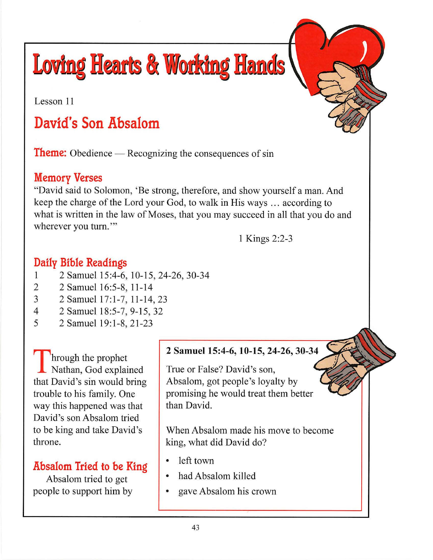**Loving Hearts & Working Hands** 

Lesson 11

# **David's Son Absalom**

**Theme:** Obedience — Recognizing the consequences of sin

## **Memory Verses**

"David said to Solomon, 'Be strong, therefore, and show yourself a man. And keep the charge of the Lord your God, to walk in His ways .. . according to what is written in the law of Moses, that you may succeed in all that you do and wherever you turn."

1 Kings 2:2-3

## **Daily Bible Readings**

- 1 2 Samuel 15 :4-6, 10-15, 24-26, 30-34
- 2 2 Samuel 16:5-8, 11-14
- 3 2 Samuel 17:1-7, 11-14, 23
- 4 2 Samuel 18:5-7, 9-15, 32
- 5 2 Samuel 19:1-8, 21-23

Through the prophet<br>Nathan, God explained that David's sin would bring trouble to his family. One way this happened was that David's son Absalom tried to be king and take David's throne.

## **Absalom Tried to be King**

Absalom tried to get people to support him by

#### **2 Samuel 15:4-6, 10-15, 24-26, 30-34**

True or False? David's son, Absalom, got people's loyalty by promising he would treat them better than David.

When Absalom made his move to become king, what did David do?

- left town
- had Absalom killed
- gave Absalom his crown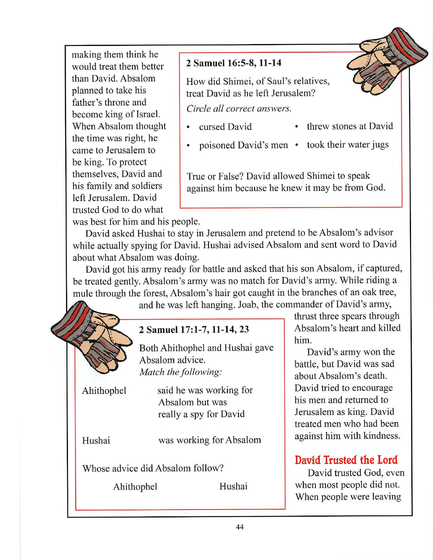making them think he would treat them better than David. Absalom planned to take his father's throne and become king of Israel. When Absalom thought the time was right, he came to Jerusalem to be king. To protect themselves, David and his family and soldiers left Jerusalem. David trusted God to do what

#### **2 Samuel 16:5-8, 11-14**

How did Shimei, of Saul's relatives, treat David as he left Jerusalem?

*Circle all correct answers.* 

- cursed David threw stones at David
- poisoned David's men took their water jugs

True or False? David allowed Shimei to speak against him because he knew it may be from God.

was best for him and his people.

David asked Hushai to stay in Jerusalem and pretend to be Absalom 's advisor while actually spying for David. Hushai advised Absalom and sent word to David about what Absalom was doing.

David got his army ready for battle and asked that his son Absalom, if captured, be treated gently. Absalom's army was no match for David's army. While riding a mule through the forest, Absalom's hair got caught in the branches of an oak tree,

and he was left hanging. Joab, the commander of David's army,



thrust three spears through him.

David's army won the battle, but David was sad about Absalom 's death. David tried to encourage his men and returned to Jerusalem as king. David treated men who had been against him with kindness.

# **David Trusted the Lord**

David trusted God, even when most people did not. When people were leaving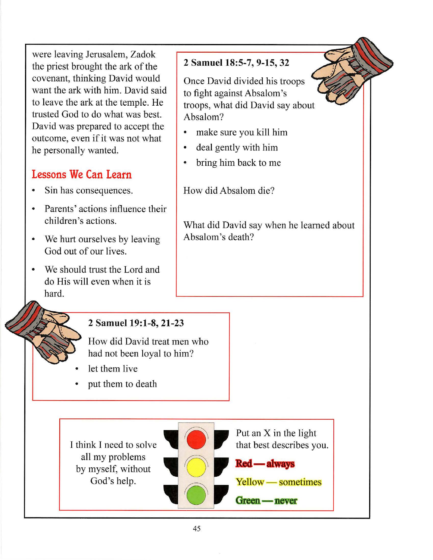were leaving Jerusalem, Zadok the priest brought the ark of the covenant, thinking David would want the ark with him. David said to leave the ark at the temple. He trusted God to do what was best. David was prepared to accept the outcome, even if it was not what he personally wanted.

# **Lessons We Can Learn**

- Sin has consequences.
- Parents' actions influence their children's actions.
- We hurt ourselves by leaving God out of our lives.
- We should trust the Lord and do His will even when it is hard.

## **2 Samuel 18:5-7, 9-15, 32**

Once David divided his troops to fight against Absalom 's troops, what did David say about Absalom?

- make sure you kill him
- deal gently with him
- bring him back to me

How did Absalom die?

What did David say when he learned about Absalom 's death?

### **2 Samuel 19:1-8, 21-23**

How did David treat men who had not been loyal to him?

- let them live
- put them to death



Put an X in the light that best describes you.

**Red** — always



## Green — never